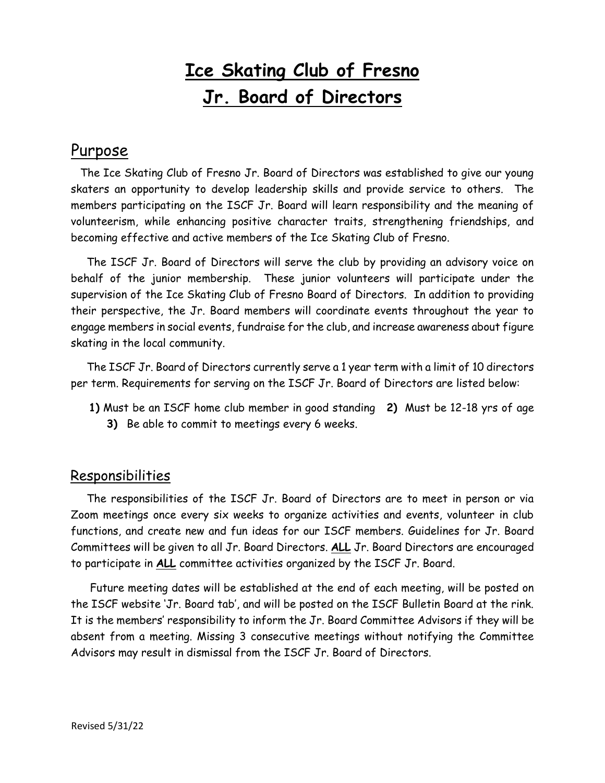# **Ice Skating Club of Fresno Jr. Board of Directors**

## Purpose

 The Ice Skating Club of Fresno Jr. Board of Directors was established to give our young skaters an opportunity to develop leadership skills and provide service to others. The members participating on the ISCF Jr. Board will learn responsibility and the meaning of volunteerism, while enhancing positive character traits, strengthening friendships, and becoming effective and active members of the Ice Skating Club of Fresno.

 The ISCF Jr. Board of Directors will serve the club by providing an advisory voice on behalf of the junior membership. These junior volunteers will participate under the supervision of the Ice Skating Club of Fresno Board of Directors. In addition to providing their perspective, the Jr. Board members will coordinate events throughout the year to engage members in social events, fundraise for the club, and increase awareness about figure skating in the local community.

 The ISCF Jr. Board of Directors currently serve a 1 year term with a limit of 10 directors per term. Requirements for serving on the ISCF Jr. Board of Directors are listed below:

**1)** Must be an ISCF home club member in good standing **2)** Must be 12-18 yrs of age **3)** Be able to commit to meetings every 6 weeks.

# **Responsibilities**

 The responsibilities of the ISCF Jr. Board of Directors are to meet in person or via Zoom meetings once every six weeks to organize activities and events, volunteer in club functions, and create new and fun ideas for our ISCF members. Guidelines for Jr. Board Committees will be given to all Jr. Board Directors. **ALL** Jr. Board Directors are encouraged to participate in **ALL** committee activities organized by the ISCF Jr. Board.

 Future meeting dates will be established at the end of each meeting, will be posted on the ISCF website 'Jr. Board tab', and will be posted on the ISCF Bulletin Board at the rink. It is the members' responsibility to inform the Jr. Board Committee Advisors if they will be absent from a meeting. Missing 3 consecutive meetings without notifying the Committee Advisors may result in dismissal from the ISCF Jr. Board of Directors.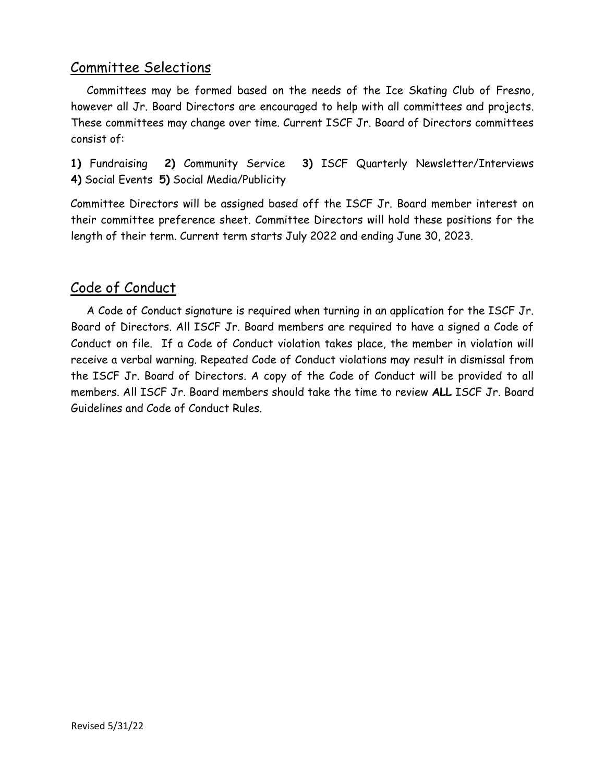## Committee Selections

 Committees may be formed based on the needs of the Ice Skating Club of Fresno, however all Jr. Board Directors are encouraged to help with all committees and projects. These committees may change over time. Current ISCF Jr. Board of Directors committees consist of:

**1)** Fundraising **2)** Community Service **3)** ISCF Quarterly Newsletter/Interviews **4)** Social Events **5)** Social Media/Publicity

Committee Directors will be assigned based off the ISCF Jr. Board member interest on their committee preference sheet. Committee Directors will hold these positions for the length of their term. Current term starts July 2022 and ending June 30, 2023.

## Code of Conduct

 A Code of Conduct signature is required when turning in an application for the ISCF Jr. Board of Directors. All ISCF Jr. Board members are required to have a signed a Code of Conduct on file. If a Code of Conduct violation takes place, the member in violation will receive a verbal warning. Repeated Code of Conduct violations may result in dismissal from the ISCF Jr. Board of Directors. A copy of the Code of Conduct will be provided to all members. All ISCF Jr. Board members should take the time to review **ALL** ISCF Jr. Board Guidelines and Code of Conduct Rules.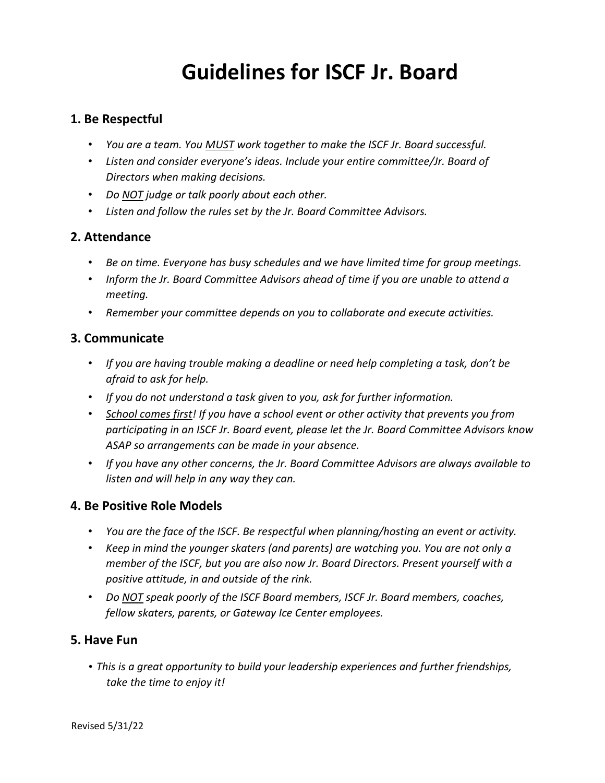# **Guidelines for ISCF Jr. Board**

#### **1. Be Respectful**

- *You are a team. You MUST work together to make the ISCF Jr. Board successful.*
- *Listen and consider everyone's ideas. Include your entire committee/Jr. Board of Directors when making decisions.*
- *Do NOT judge or talk poorly about each other.*
- *Listen and follow the rules set by the Jr. Board Committee Advisors.*

#### **2. Attendance**

- *Be on time. Everyone has busy schedules and we have limited time for group meetings.*
- *Inform the Jr. Board Committee Advisors ahead of time if you are unable to attend a meeting.*
- *Remember your committee depends on you to collaborate and execute activities.*

#### **3. Communicate**

- *If you are having trouble making a deadline or need help completing a task, don't be afraid to ask for help.*
- *If you do not understand a task given to you, ask for further information.*
- *School comes first! If you have a school event or other activity that prevents you from participating in an ISCF Jr. Board event, please let the Jr. Board Committee Advisors know ASAP so arrangements can be made in your absence.*
- *If you have any other concerns, the Jr. Board Committee Advisors are always available to listen and will help in any way they can.*

#### **4. Be Positive Role Models**

- *You are the face of the ISCF. Be respectful when planning/hosting an event or activity.*
- *Keep in mind the younger skaters (and parents) are watching you. You are not only a member of the ISCF, but you are also now Jr. Board Directors. Present yourself with a positive attitude, in and outside of the rink.*
- *Do NOT speak poorly of the ISCF Board members, ISCF Jr. Board members, coaches, fellow skaters, parents, or Gateway Ice Center employees.*

#### **5. Have Fun**

• *This is a great opportunity to build your leadership experiences and further friendships, take the time to enjoy it!*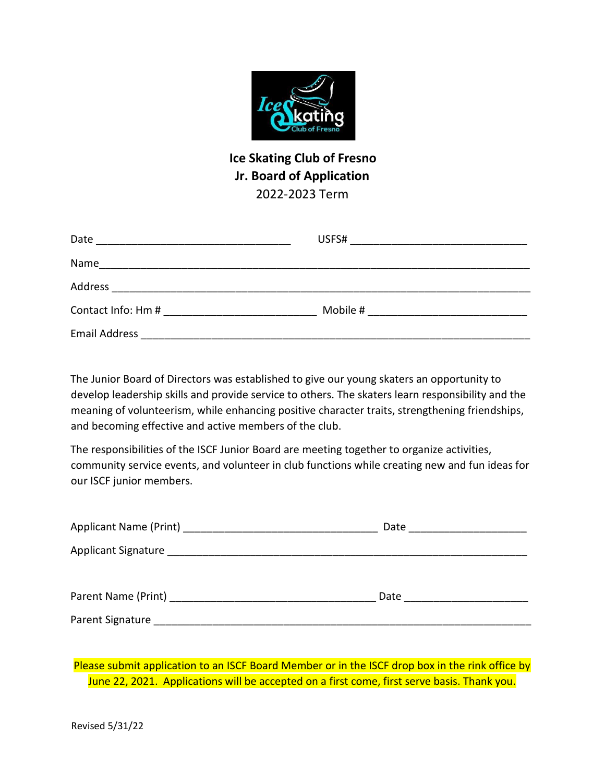

### **Ice Skating Club of Fresno Jr. Board of Application**  2022-2023 Term

| Date                 | USFS#    |
|----------------------|----------|
| Name                 |          |
| Address              |          |
| Contact Info: Hm #   | Mobile # |
| <b>Email Address</b> |          |

The Junior Board of Directors was established to give our young skaters an opportunity to develop leadership skills and provide service to others. The skaters learn responsibility and the meaning of volunteerism, while enhancing positive character traits, strengthening friendships, and becoming effective and active members of the club.

The responsibilities of the ISCF Junior Board are meeting together to organize activities, community service events, and volunteer in club functions while creating new and fun ideas for our ISCF junior members.

|                                                                                                                                                                                                                                | Date _____________________ |  |
|--------------------------------------------------------------------------------------------------------------------------------------------------------------------------------------------------------------------------------|----------------------------|--|
|                                                                                                                                                                                                                                |                            |  |
| Parent Name (Print) and the control of the control of the control of the control of the control of the control of the control of the control of the control of the control of the control of the control of the control of the | Date                       |  |
| Parent Signature _______________                                                                                                                                                                                               |                            |  |

Please submit application to an ISCF Board Member or in the ISCF drop box in the rink office by June 22, 2021. Applications will be accepted on a first come, first serve basis. Thank you.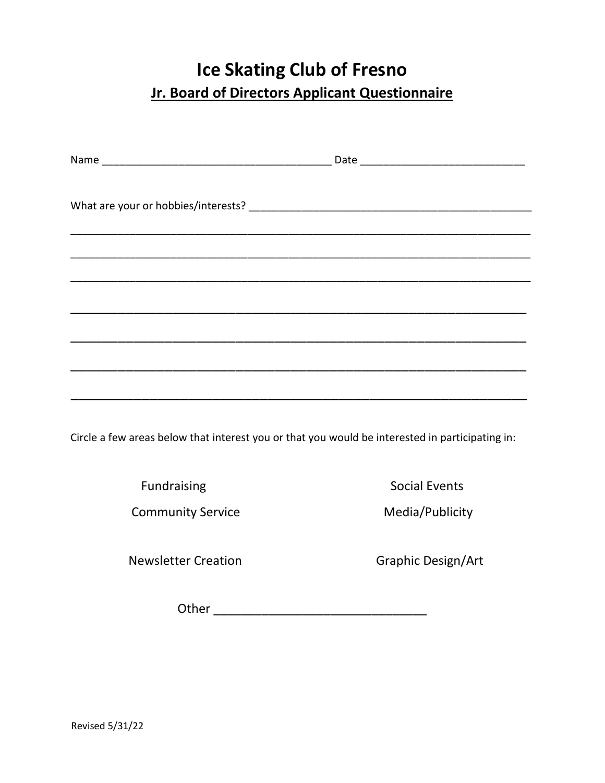# **Ice Skating Club of Fresno Jr. Board of Directors Applicant Questionnaire**

Circle a few areas below that interest you or that you would be interested in participating in:

Community Service **Media/Publicity** 

Fundraising **Social Events** 

Newsletter Creation **Graphic Design/Art** 

Other \_\_\_\_\_\_\_\_\_\_\_\_\_\_\_\_\_\_\_\_\_\_\_\_\_\_\_\_\_\_\_